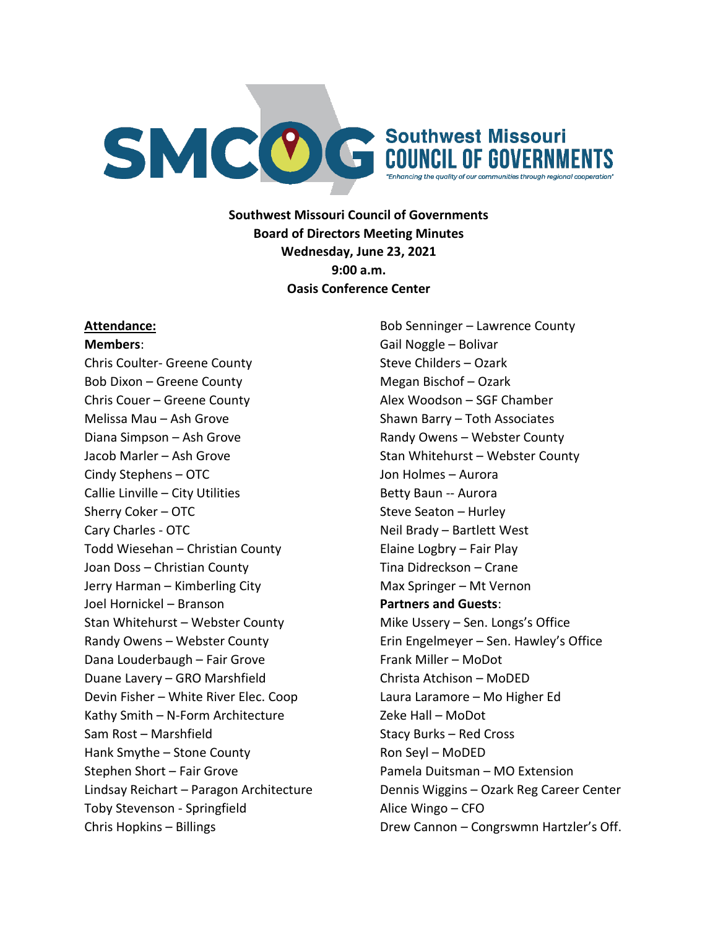

**Southwest Missouri Council of Governments Board of Directors Meeting Minutes Wednesday, June 23, 2021 9:00 a.m. Oasis Conference Center**

#### **Attendance:**

**Members**:

Chris Coulter- Greene County Bob Dixon – Greene County Chris Couer – Greene County Melissa Mau – Ash Grove Diana Simpson – Ash Grove Jacob Marler – Ash Grove Cindy Stephens – OTC Callie Linville – City Utilities Sherry Coker – OTC Cary Charles - OTC Todd Wiesehan – Christian County Joan Doss – Christian County Jerry Harman – Kimberling City Joel Hornickel – Branson Stan Whitehurst – Webster County Randy Owens – Webster County Dana Louderbaugh – Fair Grove Duane Lavery – GRO Marshfield Devin Fisher – White River Elec. Coop Kathy Smith – N-Form Architecture Sam Rost – Marshfield Hank Smythe – Stone County Stephen Short – Fair Grove Lindsay Reichart – Paragon Architecture Toby Stevenson - Springfield Chris Hopkins – Billings

Bob Senninger – Lawrence County Gail Noggle – Bolivar Steve Childers – Ozark Megan Bischof – Ozark Alex Woodson – SGF Chamber Shawn Barry – Toth Associates Randy Owens – Webster County Stan Whitehurst – Webster County Jon Holmes – Aurora Betty Baun -- Aurora Steve Seaton – Hurley Neil Brady – Bartlett West Elaine Logbry – Fair Play Tina Didreckson – Crane Max Springer – Mt Vernon **Partners and Guests**: Mike Ussery – Sen. Longs's Office Erin Engelmeyer – Sen. Hawley's Office Frank Miller – MoDot Christa Atchison – MoDED Laura Laramore – Mo Higher Ed Zeke Hall – MoDot Stacy Burks – Red Cross Ron Seyl – MoDED Pamela Duitsman – MO Extension Dennis Wiggins – Ozark Reg Career Center Alice Wingo – CFO Drew Cannon – Congrswmn Hartzler's Off.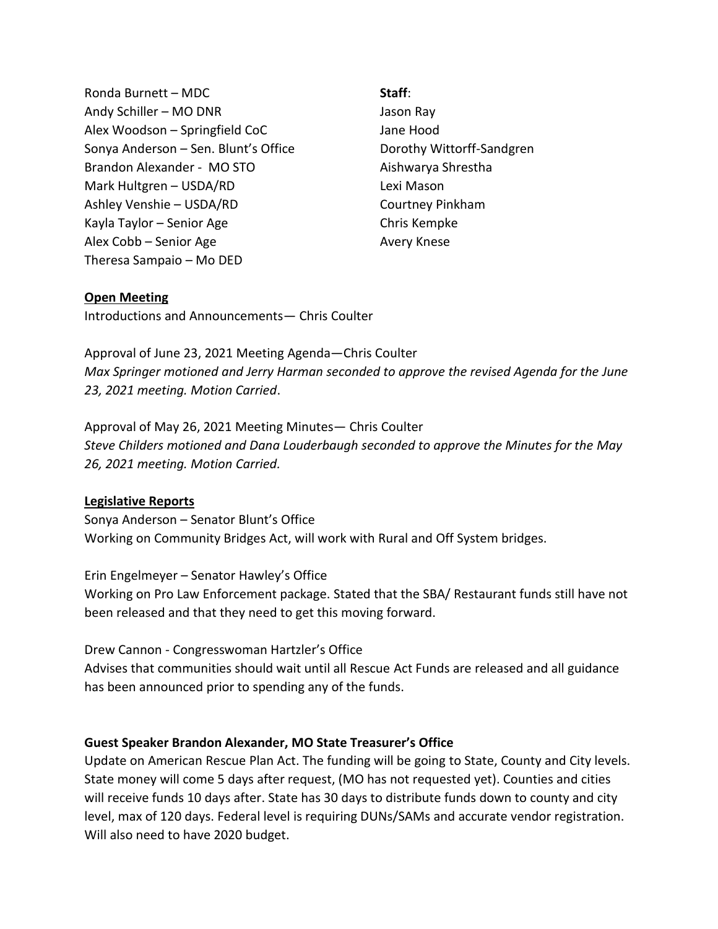Ronda Burnett – MDC Andy Schiller – MO DNR Alex Woodson – Springfield CoC Sonya Anderson – Sen. Blunt's Office Brandon Alexander - MO STO Mark Hultgren – USDA/RD Ashley Venshie – USDA/RD Kayla Taylor – Senior Age Alex Cobb – Senior Age Theresa Sampaio – Mo DED

**Staff**:

Jason Ray Jane Hood Dorothy Wittorff-Sandgren Aishwarya Shrestha Lexi Mason Courtney Pinkham Chris Kempke Avery Knese

#### **Open Meeting**

Introductions and Announcements— Chris Coulter

Approval of June 23, 2021 Meeting Agenda—Chris Coulter *Max Springer motioned and Jerry Harman seconded to approve the revised Agenda for the June 23, 2021 meeting. Motion Carried*.

Approval of May 26, 2021 Meeting Minutes— Chris Coulter *Steve Childers motioned and Dana Louderbaugh seconded to approve the Minutes for the May 26, 2021 meeting. Motion Carried.*

#### **Legislative Reports**

Sonya Anderson – Senator Blunt's Office Working on Community Bridges Act, will work with Rural and Off System bridges.

Erin Engelmeyer – Senator Hawley's Office Working on Pro Law Enforcement package. Stated that the SBA/ Restaurant funds still have not been released and that they need to get this moving forward.

Drew Cannon - Congresswoman Hartzler's Office Advises that communities should wait until all Rescue Act Funds are released and all guidance has been announced prior to spending any of the funds.

### **Guest Speaker Brandon Alexander, MO State Treasurer's Office**

Update on American Rescue Plan Act. The funding will be going to State, County and City levels. State money will come 5 days after request, (MO has not requested yet). Counties and cities will receive funds 10 days after. State has 30 days to distribute funds down to county and city level, max of 120 days. Federal level is requiring DUNs/SAMs and accurate vendor registration. Will also need to have 2020 budget.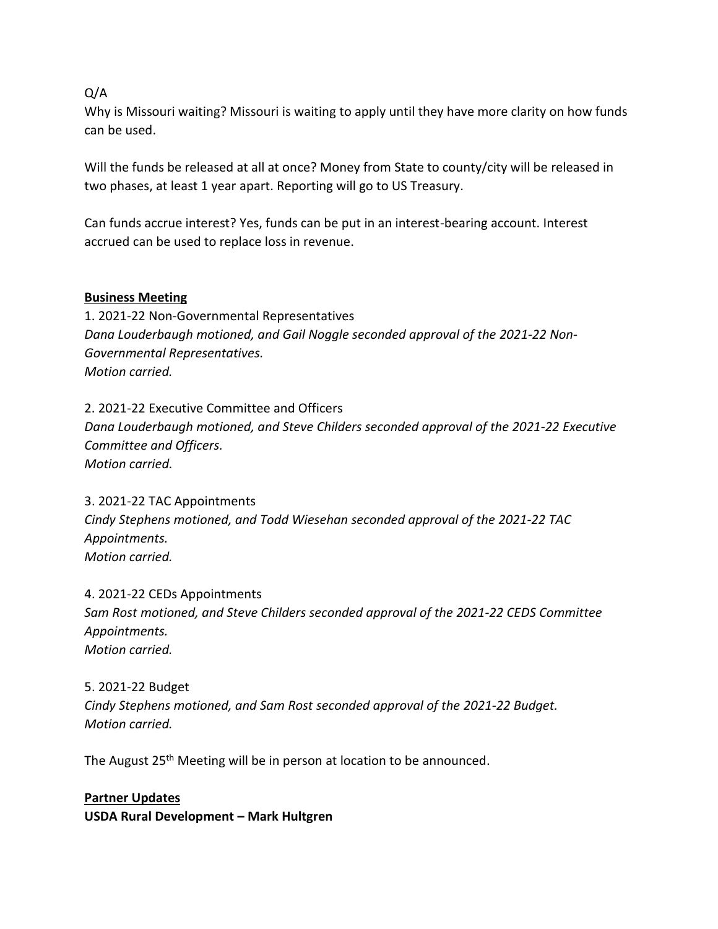### Q/A

Why is Missouri waiting? Missouri is waiting to apply until they have more clarity on how funds can be used.

Will the funds be released at all at once? Money from State to county/city will be released in two phases, at least 1 year apart. Reporting will go to US Treasury.

Can funds accrue interest? Yes, funds can be put in an interest-bearing account. Interest accrued can be used to replace loss in revenue.

### **Business Meeting**

1. 2021-22 Non-Governmental Representatives *Dana Louderbaugh motioned, and Gail Noggle seconded approval of the 2021-22 Non-Governmental Representatives. Motion carried.*

2. 2021-22 Executive Committee and Officers *Dana Louderbaugh motioned, and Steve Childers seconded approval of the 2021-22 Executive Committee and Officers. Motion carried.*

3. 2021-22 TAC Appointments *Cindy Stephens motioned, and Todd Wiesehan seconded approval of the 2021-22 TAC Appointments. Motion carried.*

4. 2021-22 CEDs Appointments *Sam Rost motioned, and Steve Childers seconded approval of the 2021-22 CEDS Committee Appointments. Motion carried.*

5. 2021-22 Budget *Cindy Stephens motioned, and Sam Rost seconded approval of the 2021-22 Budget. Motion carried.*

The August 25<sup>th</sup> Meeting will be in person at location to be announced.

**Partner Updates**

**USDA Rural Development – Mark Hultgren**